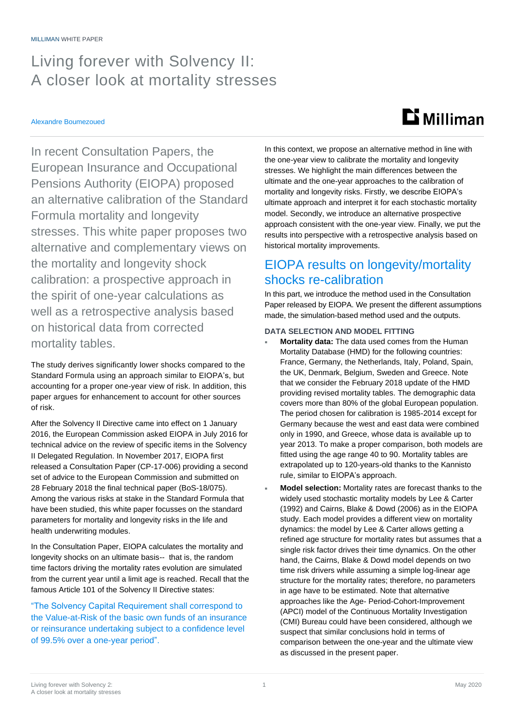## Living forever with Solvency II: A closer look at mortality stresses

#### Alexandre Boumezoued

# $$

In recent Consultation Papers, the European Insurance and Occupational Pensions Authority (EIOPA) proposed an alternative calibration of the Standard Formula mortality and longevity stresses. This white paper proposes two alternative and complementary views on the mortality and longevity shock calibration: a prospective approach in the spirit of one-year calculations as well as a retrospective analysis based on historical data from corrected mortality tables.

The study derives significantly lower shocks compared to the Standard Formula using an approach similar to EIOPA's, but accounting for a proper one-year view of risk. In addition, this paper argues for enhancement to account for other sources of risk.

After the Solvency II Directive came into effect on 1 January 2016, the European Commission asked EIOPA in July 2016 for technical advice on the review of specific items in the Solvency II Delegated Regulation. In November 2017, EIOPA first released a Consultation Paper (CP-17-006) providing a second set of advice to the European Commission and submitted on 28 February 2018 the final technical paper (BoS-18/075). Among the various risks at stake in the Standard Formula that have been studied, this white paper focusses on the standard parameters for mortality and longevity risks in the life and health underwriting modules.

In the Consultation Paper, EIOPA calculates the mortality and longevity shocks on an ultimate basis-- that is, the random time factors driving the mortality rates evolution are simulated from the current year until a limit age is reached. Recall that the famous Article 101 of the Solvency II Directive states:

"The Solvency Capital Requirement shall correspond to the Value-at-Risk of the basic own funds of an insurance or reinsurance undertaking subject to a confidence level of 99.5% over a one-year period".

In this context, we propose an alternative method in line with the one-year view to calibrate the mortality and longevity stresses. We highlight the main differences between the ultimate and the one-year approaches to the calibration of mortality and longevity risks. Firstly, we describe EIOPA's ultimate approach and interpret it for each stochastic mortality model. Secondly, we introduce an alternative prospective approach consistent with the one-year view. Finally, we put the results into perspective with a retrospective analysis based on historical mortality improvements.

## EIOPA results on longevity/mortality shocks re-calibration

In this part, we introduce the method used in the Consultation Paper released by EIOPA. We present the different assumptions made, the simulation-based method used and the outputs.

#### **DATA SELECTION AND MODEL FITTING**

- **Mortality data:** The data used comes from the Human Mortality Database (HMD) for the following countries: France, Germany, the Netherlands, Italy, Poland, Spain, the UK, Denmark, Belgium, Sweden and Greece. Note that we consider the February 2018 update of the HMD providing revised mortality tables. The demographic data covers more than 80% of the global European population. The period chosen for calibration is 1985-2014 except for Germany because the west and east data were combined only in 1990, and Greece, whose data is available up to year 2013. To make a proper comparison, both models are fitted using the age range 40 to 90. Mortality tables are extrapolated up to 120-years-old thanks to the Kannisto rule, similar to EIOPA's approach.
- **Model selection:** Mortality rates are forecast thanks to the widely used stochastic mortality models by Lee & Carter (1992) and Cairns, Blake & Dowd (2006) as in the EIOPA study. Each model provides a different view on mortality dynamics: the model by Lee & Carter allows getting a refined age structure for mortality rates but assumes that a single risk factor drives their time dynamics. On the other hand, the Cairns, Blake & Dowd model depends on two time risk drivers while assuming a simple log-linear age structure for the mortality rates; therefore, no parameters in age have to be estimated. Note that alternative approaches like the Age- Period-Cohort-Improvement (APCI) model of the Continuous Mortality Investigation (CMI) Bureau could have been considered, although we suspect that similar conclusions hold in terms of comparison between the one-year and the ultimate view as discussed in the present paper.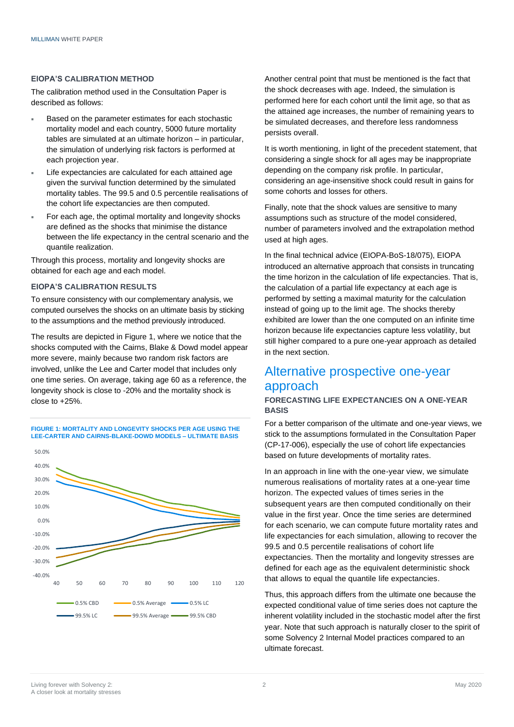#### **EIOPA'S CALIBRATION METHOD**

The calibration method used in the Consultation Paper is described as follows:

- Based on the parameter estimates for each stochastic mortality model and each country, 5000 future mortality tables are simulated at an ultimate horizon – in particular, the simulation of underlying risk factors is performed at each projection year.
- Life expectancies are calculated for each attained age given the survival function determined by the simulated mortality tables. The 99.5 and 0.5 percentile realisations of the cohort life expectancies are then computed.
- For each age, the optimal mortality and longevity shocks are defined as the shocks that minimise the distance between the life expectancy in the central scenario and the quantile realization.

Through this process, mortality and longevity shocks are obtained for each age and each model.

#### **EIOPA'S CALIBRATION RESULTS**

To ensure consistency with our complementary analysis, we computed ourselves the shocks on an ultimate basis by sticking to the assumptions and the method previously introduced.

The results are depicted in Figure 1, where we notice that the shocks computed with the Cairns, Blake & Dowd model appear more severe, mainly because two random risk factors are involved, unlike the Lee and Carter model that includes only one time series. On average, taking age 60 as a reference, the longevity shock is close to -20% and the mortality shock is close to +25%.

#### **FIGURE 1: MORTALITY AND LONGEVITY SHOCKS PER AGE USING THE LEE-CARTER AND CAIRNS-BLAKE-DOWD MODELS – ULTIMATE BASIS**



Another central point that must be mentioned is the fact that the shock decreases with age. Indeed, the simulation is performed here for each cohort until the limit age, so that as the attained age increases, the number of remaining years to be simulated decreases, and therefore less randomness persists overall.

It is worth mentioning, in light of the precedent statement, that considering a single shock for all ages may be inappropriate depending on the company risk profile. In particular, considering an age-insensitive shock could result in gains for some cohorts and losses for others.

Finally, note that the shock values are sensitive to many assumptions such as structure of the model considered, number of parameters involved and the extrapolation method used at high ages.

In the final technical advice (EIOPA-BoS-18/075), EIOPA introduced an alternative approach that consists in truncating the time horizon in the calculation of life expectancies. That is, the calculation of a partial life expectancy at each age is performed by setting a maximal maturity for the calculation instead of going up to the limit age. The shocks thereby exhibited are lower than the one computed on an infinite time horizon because life expectancies capture less volatility, but still higher compared to a pure one-year approach as detailed in the next section.

## Alternative prospective one-year approach

#### **FORECASTING LIFE EXPECTANCIES ON A ONE-YEAR BASIS**

For a better comparison of the ultimate and one-year views, we stick to the assumptions formulated in the Consultation Paper (CP-17-006), especially the use of cohort life expectancies based on future developments of mortality rates.

In an approach in line with the one-year view, we simulate numerous realisations of mortality rates at a one-year time horizon. The expected values of times series in the subsequent years are then computed conditionally on their value in the first year. Once the time series are determined for each scenario, we can compute future mortality rates and life expectancies for each simulation, allowing to recover the 99.5 and 0.5 percentile realisations of cohort life expectancies. Then the mortality and longevity stresses are defined for each age as the equivalent deterministic shock that allows to equal the quantile life expectancies.

Thus, this approach differs from the ultimate one because the expected conditional value of time series does not capture the inherent volatility included in the stochastic model after the first year. Note that such approach is naturally closer to the spirit of some Solvency 2 Internal Model practices compared to an ultimate forecast.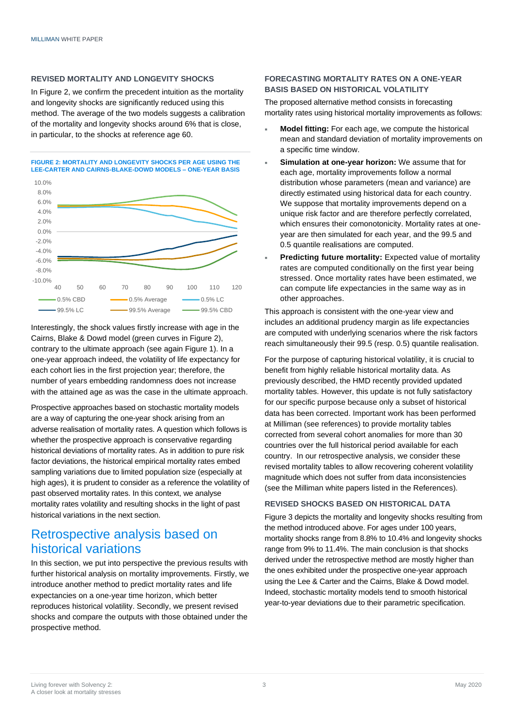#### **REVISED MORTALITY AND LONGEVITY SHOCKS**

In Figure 2, we confirm the precedent intuition as the mortality and longevity shocks are significantly reduced using this method. The average of the two models suggests a calibration of the mortality and longevity shocks around 6% that is close, in particular, to the shocks at reference age 60.

**FIGURE 2: MORTALITY AND LONGEVITY SHOCKS PER AGE USING THE LEE-CARTER AND CAIRNS-BLAKE-DOWD MODELS – ONE-YEAR BASIS**



Interestingly, the shock values firstly increase with age in the Cairns, Blake & Dowd model (green curves in Figure 2), contrary to the ultimate approach (see again Figure 1). In a one-year approach indeed, the volatility of life expectancy for each cohort lies in the first projection year; therefore, the number of years embedding randomness does not increase with the attained age as was the case in the ultimate approach.

Prospective approaches based on stochastic mortality models are a way of capturing the one-year shock arising from an adverse realisation of mortality rates. A question which follows is whether the prospective approach is conservative regarding historical deviations of mortality rates. As in addition to pure risk factor deviations, the historical empirical mortality rates embed sampling variations due to limited population size (especially at high ages), it is prudent to consider as a reference the volatility of past observed mortality rates. In this context, we analyse mortality rates volatility and resulting shocks in the light of past historical variations in the next section.

## Retrospective analysis based on historical variations

In this section, we put into perspective the previous results with further historical analysis on mortality improvements. Firstly, we introduce another method to predict mortality rates and life expectancies on a one-year time horizon, which better reproduces historical volatility. Secondly, we present revised shocks and compare the outputs with those obtained under the prospective method.

#### **FORECASTING MORTALITY RATES ON A ONE-YEAR BASIS BASED ON HISTORICAL VOLATILITY**

The proposed alternative method consists in forecasting mortality rates using historical mortality improvements as follows:

- **Model fitting:** For each age, we compute the historical mean and standard deviation of mortality improvements on a specific time window.
- **Simulation at one-year horizon:** We assume that for each age, mortality improvements follow a normal distribution whose parameters (mean and variance) are directly estimated using historical data for each country. We suppose that mortality improvements depend on a unique risk factor and are therefore perfectly correlated, which ensures their comonotonicity. Mortality rates at oneyear are then simulated for each year, and the 99.5 and 0.5 quantile realisations are computed.
- **Predicting future mortality:** Expected value of mortality rates are computed conditionally on the first year being stressed. Once mortality rates have been estimated, we can compute life expectancies in the same way as in other approaches.

This approach is consistent with the one-year view and includes an additional prudency margin as life expectancies are computed with underlying scenarios where the risk factors reach simultaneously their 99.5 (resp. 0.5) quantile realisation.

For the purpose of capturing historical volatility, it is crucial to benefit from highly reliable historical mortality data. As previously described, the HMD recently provided updated mortality tables. However, this update is not fully satisfactory for our specific purpose because only a subset of historical data has been corrected. Important work has been performed at Milliman (see references) to provide mortality tables corrected from several cohort anomalies for more than 30 countries over the full historical period available for each country. In our retrospective analysis, we consider these revised mortality tables to allow recovering coherent volatility magnitude which does not suffer from data inconsistencies (see the Milliman white papers listed in the References).

#### **REVISED SHOCKS BASED ON HISTORICAL DATA**

Figure 3 depicts the mortality and longevity shocks resulting from the method introduced above. For ages under 100 years, mortality shocks range from 8.8% to 10.4% and longevity shocks range from 9% to 11.4%. The main conclusion is that shocks derived under the retrospective method are mostly higher than the ones exhibited under the prospective one-year approach using the Lee & Carter and the Cairns, Blake & Dowd model. Indeed, stochastic mortality models tend to smooth historical year-to-year deviations due to their parametric specification.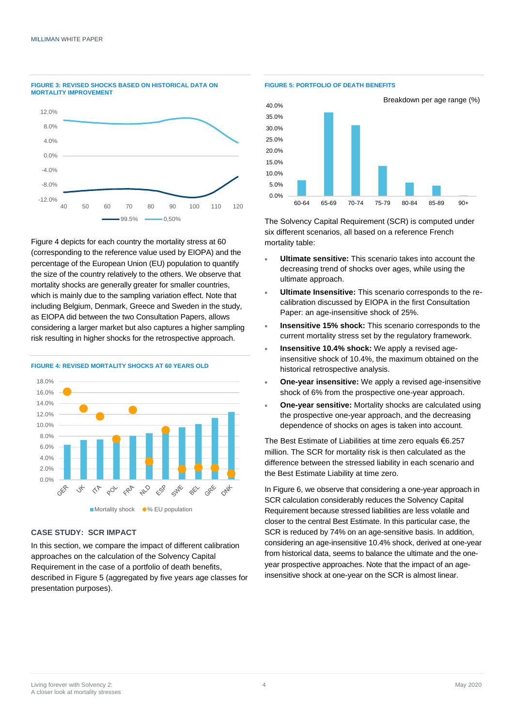

**FIGURE 3: REVISED SHOCKS BASED ON HISTORICAL DATA ON** 

Figure 4 depicts for each country the mortality stress at 60 (corresponding to the reference value used by EIOPA) and the percentage of the European Union (EU) population to quantify the size of the country relatively to the others. We observe that mortality shocks are generally greater for smaller countries, which is mainly due to the sampling variation effect. Note that including Belgium, Denmark, Greece and Sweden in the study, as EIOPA did between the two Consultation Papers, allows considering a larger market but also captures a higher sampling risk resulting in higher shocks for the retrospective approach.



#### **FIGURE 4: REVISED MORTALITY SHOCKS AT 60 YEARS OLD**

#### **CASE STUDY: SCR IMPACT**

In this section, we compare the impact of different calibration approaches on the calculation of the Solvency Capital Requirement in the case of a portfolio of death benefits, described in Figure 5 (aggregated by five years age classes for presentation purposes).





The Solvency Capital Requirement (SCR) is computed under six different scenarios, all based on a reference French mortality table:

- **Ultimate sensitive:** This scenario takes into account the decreasing trend of shocks over ages, while using the ultimate approach.
- **Ultimate Insensitive:** This scenario corresponds to the recalibration discussed by EIOPA in the first Consultation Paper: an age-insensitive shock of 25%.
- **Insensitive 15% shock:** This scenario corresponds to the current mortality stress set by the regulatory framework.
- **Insensitive 10.4% shock:** We apply a revised ageinsensitive shock of 10.4%, the maximum obtained on the historical retrospective analysis.
- **One-year insensitive:** We apply a revised age-insensitive shock of 6% from the prospective one-year approach.
- **One-year sensitive:** Mortality shocks are calculated using the prospective one-year approach, and the decreasing dependence of shocks on ages is taken into account.

The Best Estimate of Liabilities at time zero equals €6.257 million. The SCR for mortality risk is then calculated as the difference between the stressed liability in each scenario and the Best Estimate Liability at time zero.

In Figure 6, we observe that considering a one-year approach in SCR calculation considerably reduces the Solvency Capital Requirement because stressed liabilities are less volatile and closer to the central Best Estimate. In this particular case, the SCR is reduced by 74% on an age-sensitive basis. In addition, considering an age-insensitive 10.4% shock, derived at one-year from historical data, seems to balance the ultimate and the oneyear prospective approaches. Note that the impact of an ageinsensitive shock at one-year on the SCR is almost linear.